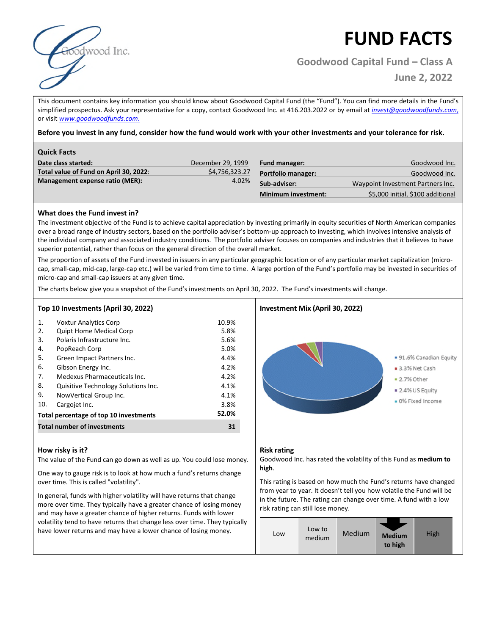

# **FUND FACTS**

**Goodwood Capital Fund – Class A**

 **June 2, 2022**

This document contains key information you should know about Goodwood Capital Fund (the "Fund"). You can find more details in the Fund's simplified prospectus. Ask your representative for a copy, contact Goodwood Inc. at 416.203.2022 or by email at *invest@goodwoodfunds.com*, or visit *www.goodwoodfunds.com*.

**Before you invest in any fund, consider how the fund would work with your other investments and your tolerance for risk.** 

| <b>Quick Facts</b>                     |                   |                            |                                   |
|----------------------------------------|-------------------|----------------------------|-----------------------------------|
| Date class started:                    | December 29, 1999 | <b>Fund manager:</b>       | Goodwood Inc.                     |
| Total value of Fund on April 30, 2022: | \$4,756,323.27    | <b>Portfolio manager:</b>  | Goodwood Inc.                     |
| Management expense ratio (MER):        | 4.02%             | Sub-adviser:               | Waypoint Investment Partners Inc. |
|                                        |                   | <b>Minimum investment:</b> | \$5,000 initial, \$100 additional |

## **What does the Fund invest in?**

The investment objective of the Fund is to achieve capital appreciation by investing primarily in equity securities of North American companies over a broad range of industry sectors, based on the portfolio adviser's bottom-up approach to investing, which involves intensive analysis of the individual company and associated industry conditions. The portfolio adviser focuses on companies and industries that it believes to have superior potential, rather than focus on the general direction of the overall market.

The proportion of assets of the Fund invested in issuers in any particular geographic location or of any particular market capitalization (microcap, small-cap, mid-cap, large-cap etc.) will be varied from time to time. A large portion of the Fund's portfolio may be invested in securities of micro-cap and small-cap issuers at any given time.

The charts below give you a snapshot of the Fund's investments on April 30, 2022. The Fund's investments will change.

| 10.9%<br>5.8%<br>5.6%<br>5.0%<br>4.4%<br>4.2%<br>4.2%<br>4.1%<br>4.1%<br>3.8%<br>52.0% |
|----------------------------------------------------------------------------------------|

### **How risky is it?**

The value of the Fund can go down as well as up. You could lose money.

One way to gauge risk is to look at how much a fund's returns change over time. This is called "volatility".

In general, funds with higher volatility will have returns that change more over time. They typically have a greater chance of losing money and may have a greater chance of higher returns. Funds with lower volatility tend to have returns that change less over time. They typically have lower returns and may have a lower chance of losing money.

### **Risk rating**

Goodwood Inc. has rated the volatility of this Fund as **medium to high**.

This rating is based on how much the Fund's returns have changed from year to year. It doesn't tell you how volatile the Fund will be in the future. The rating can change over time. A fund with a low risk rating can still lose money.

| Low to<br>Medium<br>High<br>Low<br><b>Medium</b><br>medium<br>to high |  |
|-----------------------------------------------------------------------|--|
|-----------------------------------------------------------------------|--|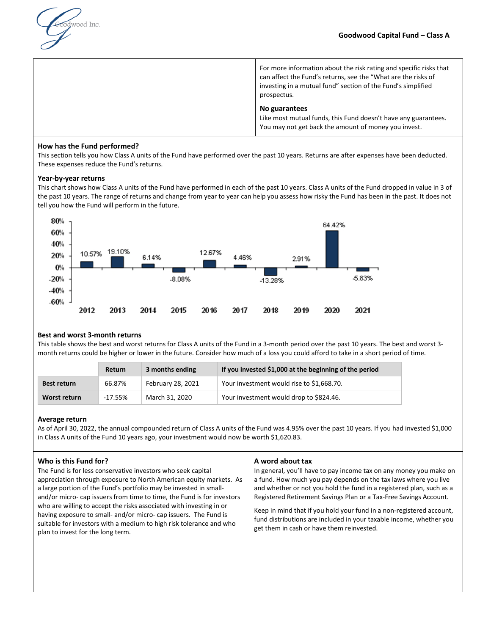

For more information about the risk rating and specific risks that can affect the Fund's returns, see the "What are the risks of investing in a mutual fund" section of the Fund's simplified prospectus.

### **No guarantees**

Like most mutual funds, this Fund doesn't have any guarantees. You may not get back the amount of money you invest.

## **How has the Fund performed?**

This section tells you how Class A units of the Fund have performed over the past 10 years. Returns are after expenses have been deducted. These expenses reduce the Fund's returns.

### **Year-by-year returns**

This chart shows how Class A units of the Fund have performed in each of the past 10 years. Class A units of the Fund dropped in value in 3 of the past 10 years. The range of returns and change from year to year can help you assess how risky the Fund has been in the past. It does not tell you how the Fund will perform in the future.



### **Best and worst 3-month returns**

This table shows the best and worst returns for Class A units of the Fund in a 3-month period over the past 10 years. The best and worst 3 month returns could be higher or lower in the future. Consider how much of a loss you could afford to take in a short period of time.

|              | Return    | 3 months ending   | If you invested \$1,000 at the beginning of the period |
|--------------|-----------|-------------------|--------------------------------------------------------|
| Best return  | 66.87%    | February 28, 2021 | Your investment would rise to \$1,668.70.              |
| Worst return | $-17.55%$ | March 31, 2020    | Your investment would drop to \$824.46.                |

### **Average return**

As of April 30, 2022, the annual compounded return of Class A units of the Fund was 4.95% over the past 10 years. If you had invested \$1,000 in Class A units of the Fund 10 years ago, your investment would now be worth \$1,620.83.

## **Who is this Fund for?**

The Fund is for less conservative investors who seek capital appreciation through exposure to North American equity markets. As a large portion of the Fund's portfolio may be invested in smalland/or micro- cap issuers from time to time, the Fund is for investors who are willing to accept the risks associated with investing in or having exposure to small- and/or micro- cap issuers. The Fund is suitable for investors with a medium to high risk tolerance and who plan to invest for the long term.

### **A word about tax**

In general, you'll have to pay income tax on any money you make on a fund. How much you pay depends on the tax laws where you live and whether or not you hold the fund in a registered plan, such as a Registered Retirement Savings Plan or a Tax-Free Savings Account.

Keep in mind that if you hold your fund in a non-registered account, fund distributions are included in your taxable income, whether you get them in cash or have them reinvested.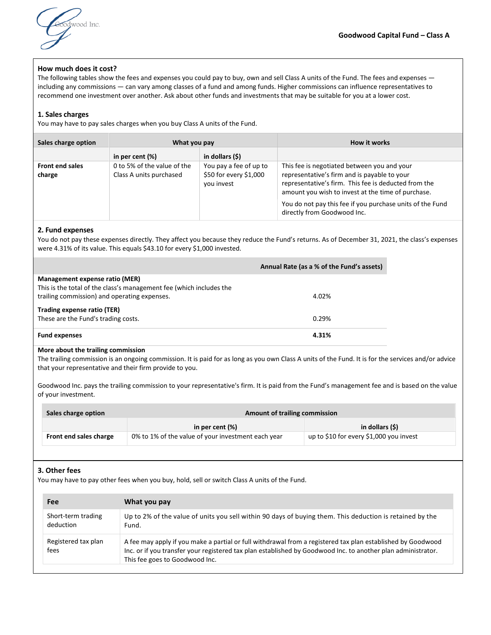

### **How much does it cost?**

The following tables show the fees and expenses you could pay to buy, own and sell Class A units of the Fund. The fees and expenses including any commissions — can vary among classes of a fund and among funds. Higher commissions can influence representatives to recommend one investment over another. Ask about other funds and investments that may be suitable for you at a lower cost.

### **1. Sales charges**

You may have to pay sales charges when you buy Class A units of the Fund.

| Sales charge option              | What you pay                                           |                                                                | How it works                                                                                                                                                                                                                                                                                          |
|----------------------------------|--------------------------------------------------------|----------------------------------------------------------------|-------------------------------------------------------------------------------------------------------------------------------------------------------------------------------------------------------------------------------------------------------------------------------------------------------|
|                                  | in per cent (%)                                        | in dollars (\$)                                                |                                                                                                                                                                                                                                                                                                       |
| <b>Front end sales</b><br>charge | 0 to 5% of the value of the<br>Class A units purchased | You pay a fee of up to<br>\$50 for every \$1,000<br>vou invest | This fee is negotiated between you and your<br>representative's firm and is payable to your<br>representative's firm. This fee is deducted from the<br>amount you wish to invest at the time of purchase.<br>You do not pay this fee if you purchase units of the Fund<br>directly from Goodwood Inc. |

### **2. Fund expenses**

You do not pay these expenses directly. They affect you because they reduce the Fund's returns. As of December 31, 2021, the class's expenses were 4.31% of its value. This equals \$43.10 for every \$1,000 invested.

|                                                                                                                                                       | Annual Rate (as a % of the Fund's assets) |
|-------------------------------------------------------------------------------------------------------------------------------------------------------|-------------------------------------------|
| Management expense ratio (MER)<br>This is the total of the class's management fee (which includes the<br>trailing commission) and operating expenses. | 4.02%                                     |
| Trading expense ratio (TER)<br>These are the Fund's trading costs.                                                                                    | 0.29%                                     |
| <b>Fund expenses</b>                                                                                                                                  | 4.31%                                     |

### **More about the trailing commission**

The trailing commission is an ongoing commission. It is paid for as long as you own Class A units of the Fund. It is for the services and/or advice that your representative and their firm provide to you.

Goodwood Inc. pays the trailing commission to your representative's firm. It is paid from the Fund's management fee and is based on the value of your investment.

| Sales charge option    | Amount of trailing commission                      |                                         |  |
|------------------------|----------------------------------------------------|-----------------------------------------|--|
|                        | in per cent (%)                                    | in dollars (\$)                         |  |
| Front end sales charge | 0% to 1% of the value of your investment each year | up to \$10 for every \$1,000 you invest |  |

### **3. Other fees**

You may have to pay other fees when you buy, hold, sell or switch Class A units of the Fund.

| Fee                             | What you pay                                                                                                                                                                                                                                                  |
|---------------------------------|---------------------------------------------------------------------------------------------------------------------------------------------------------------------------------------------------------------------------------------------------------------|
| Short-term trading<br>deduction | Up to 2% of the value of units you sell within 90 days of buying them. This deduction is retained by the<br>Fund.                                                                                                                                             |
| Registered tax plan<br>fees     | A fee may apply if you make a partial or full withdrawal from a registered tax plan established by Goodwood<br>Inc. or if you transfer your registered tax plan established by Goodwood Inc. to another plan administrator.<br>This fee goes to Goodwood Inc. |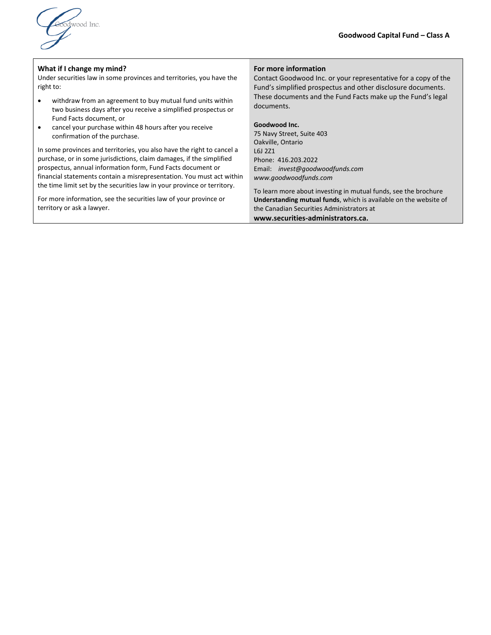

### **What if I change my mind?**

Under securities law in some provinces and territories, you have the right to:

- withdraw from an agreement to buy mutual fund units within two business days after you receive a simplified prospectus or Fund Facts document, or
- cancel your purchase within 48 hours after you receive confirmation of the purchase.

In some provinces and territories, you also have the right to cancel a purchase, or in some jurisdictions, claim damages, if the simplified prospectus, annual information form, Fund Facts document or financial statements contain a misrepresentation. You must act within the time limit set by the securities law in your province or territory.

For more information, see the securities law of your province or territory or ask a lawyer.

### **For more information**

Contact Goodwood Inc. or your representative for a copy of the Fund's simplified prospectus and other disclosure documents. These documents and the Fund Facts make up the Fund's legal documents.

### **Goodwood Inc.**

75 Navy Street, Suite 403 Oakville, Ontario L6J 2Z1 Phone: 416.203.2022 Email: *invest@goodwoodfunds.com www.goodwoodfunds.com*

To learn more about investing in mutual funds, see the brochure **Understanding mutual funds**, which is available on the website of the Canadian Securities Administrators at **www.securities-administrators.ca.**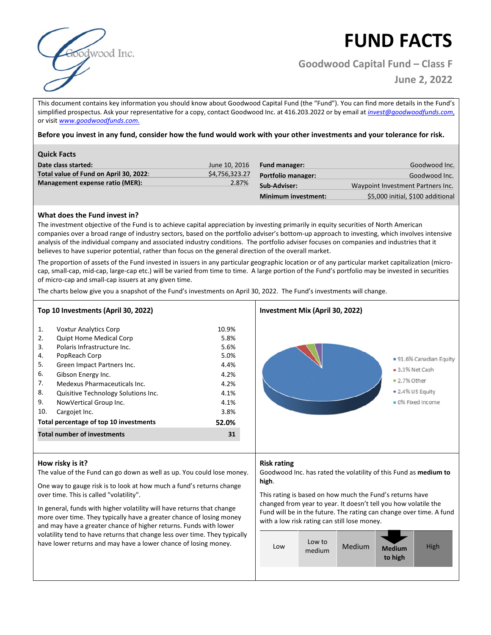

# **FUND FACTS**

**Goodwood Capital Fund – Class F**

**June 2, 2022**

This document contains key information you should know about Goodwood Capital Fund (the "Fund"). You can find more details in the Fund's simplified prospectus. Ask your representative for a copy, contact Goodwood Inc. at 416.203.2022 or by email at *invest@goodwoodfunds.com*, or visit *www.goodwoodfunds.com*.

**Before you invest in any fund, consider how the fund would work with your other investments and your tolerance for risk.** 

| <b>Quick Facts</b>                     |                |                            |                                   |
|----------------------------------------|----------------|----------------------------|-----------------------------------|
| Date class started:                    | June 10, 2016  | <b>Fund manager:</b>       | Goodwood Inc.                     |
| Total value of Fund on April 30, 2022: | \$4,756,323.27 | <b>Portfolio manager:</b>  | Goodwood Inc.                     |
| Management expense ratio (MER):        | 2.87%          | Sub-Adviser:               | Waypoint Investment Partners Inc. |
|                                        |                | <b>Minimum investment:</b> | \$5,000 initial, \$100 additional |

## **What does the Fund invest in?**

The investment objective of the Fund is to achieve capital appreciation by investing primarily in equity securities of North American companies over a broad range of industry sectors, based on the portfolio adviser's bottom-up approach to investing, which involves intensive analysis of the individual company and associated industry conditions. The portfolio adviser focuses on companies and industries that it believes to have superior potential, rather than focus on the general direction of the overall market.

The proportion of assets of the Fund invested in issuers in any particular geographic location or of any particular market capitalization (microcap, small-cap, mid-cap, large-cap etc.) will be varied from time to time. A large portion of the Fund's portfolio may be invested in securities of micro-cap and small-cap issuers at any given time.

The charts below give you a snapshot of the Fund's investments on April 30, 2022. The Fund's investments will change.

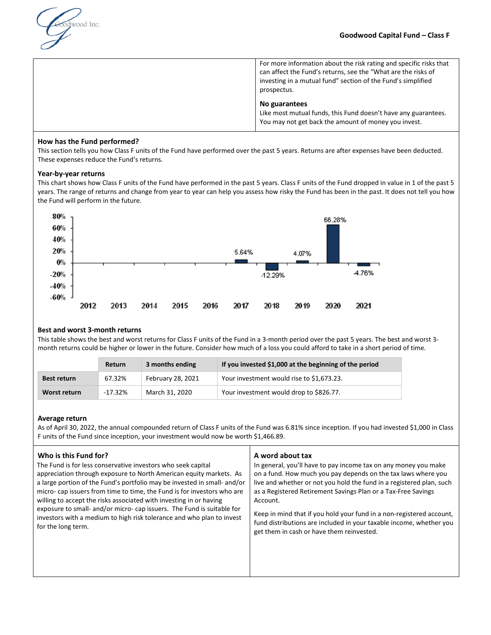

For more information about the risk rating and specific risks that can affect the Fund's returns, see the "What are the risks of investing in a mutual fund" section of the Fund's simplified prospectus.

### **No guarantees**

Like most mutual funds, this Fund doesn't have any guarantees. You may not get back the amount of money you invest.

### **How has the Fund performed?**

This section tells you how Class F units of the Fund have performed over the past 5 years. Returns are after expenses have been deducted. These expenses reduce the Fund's returns.

### **Year-by-year returns**

This chart shows how Class F units of the Fund have performed in the past 5 years. Class F units of the Fund dropped in value in 1 of the past 5 years. The range of returns and change from year to year can help you assess how risky the Fund has been in the past. It does not tell you how the Fund will perform in the future.



### **Best and worst 3-month returns**

This table shows the best and worst returns for Class F units of the Fund in a 3-month period over the past 5 years. The best and worst 3 month returns could be higher or lower in the future. Consider how much of a loss you could afford to take in a short period of time.

|              | Return    | 3 months ending   | If you invested \$1,000 at the beginning of the period |
|--------------|-----------|-------------------|--------------------------------------------------------|
| Best return  | 67.32%    | February 28, 2021 | Your investment would rise to \$1,673.23.              |
| Worst return | $-17.32%$ | March 31, 2020    | Your investment would drop to \$826.77.                |

#### **Average return**

As of April 30, 2022, the annual compounded return of Class F units of the Fund was 6.81% since inception. If you had invested \$1,000 in Class F units of the Fund since inception, your investment would now be worth \$1,466.89.

#### **Who is this Fund for?**  The Fund is for less conservative investors who seek capital appreciation through exposure to North American equity markets. As a large portion of the Fund's portfolio may be invested in small- and/or micro- cap issuers from time to time, the Fund is for investors who are willing to accept the risks associated with investing in or having exposure to small- and/or micro- cap issuers. The Fund is suitable for investors with a medium to high risk tolerance and who plan to invest for the long term. **A word about tax**  In general, you'll have to pay income tax on any money you make on a fund. How much you pay depends on the tax laws where you live and whether or not you hold the fund in a registered plan, such as a Registered Retirement Savings Plan or a Tax-Free Savings Account. Keep in mind that if you hold your fund in a non-registered account, fund distributions are included in your taxable income, whether you get them in cash or have them reinvested.